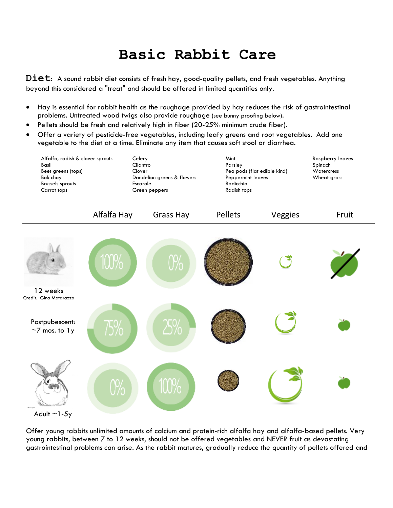## **Basic Rabbit Care**

**Diet**: A sound rabbit diet consists of fresh hay, good-quality pellets, and fresh vegetables. Anything beyond this considered a "treat" and should be offered in limited quantities only.

- Hay is essential for rabbit health as the roughage provided by hay reduces the risk of gastrointestinal problems. Untreated wood twigs also provide roughage (see bunny proofing below).
- Pellets should be fresh and relatively high in fiber (20-25% minimum crude fiber).
- Offer a variety of pesticide-free vegetables, including leafy greens and root vegetables. Add one vegetable to the diet at a time. Eliminate any item that causes soft stool or diarrhea.



Offer young rabbits unlimited amounts of calcium and protein-rich alfalfa hay and alfalfa-based pellets. Very young rabbits, between 7 to 12 weeks, should not be offered vegetables and NEVER fruit as devastating gastrointestinal problems can arise. As the rabbit matures, gradually reduce the quantity of pellets offered and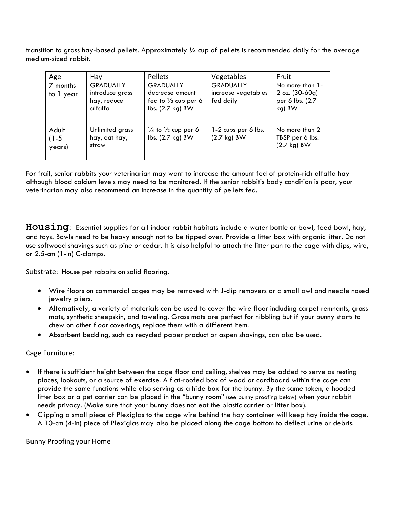transition to grass hay-based pellets. Approximately  $\frac{1}{4}$  cup of pellets is recommended daily for the average medium-sized rabbit.

|           | Hay                    | Pellets                                            | Vegetables            | Fruit                     |
|-----------|------------------------|----------------------------------------------------|-----------------------|---------------------------|
| Age       |                        |                                                    |                       |                           |
| 7 months  | <b>GRADUALLY</b>       | <b>GRADUALLY</b>                                   | <b>GRADUALLY</b>      | No more than 1-           |
| to 1 year | introduce grass        | decrease amount                                    | increase vegetables   | $2 oz. (30-60g)$          |
|           | hay, reduce<br>alfalfa | fed to $\frac{1}{2}$ cup per 6<br>lbs. (2.7 kg) BW | fed daily             | per 6 lbs. (2.7<br>kg) BW |
|           |                        |                                                    |                       |                           |
|           |                        |                                                    |                       |                           |
| Adult     | Unlimited grass        | $\frac{1}{4}$ to $\frac{1}{2}$ cup per 6           | 1-2 cups per 6 lbs.   | No more than 2            |
| $(1-5)$   | hay, oat hay,          | lbs. (2.7 kg) BW                                   | $(2.7 \text{ kg})$ BW | TBSP per 6 lbs.           |
| years)    | straw                  |                                                    |                       | $(2.7 \text{ kg})$ BW     |
|           |                        |                                                    |                       |                           |
|           |                        |                                                    |                       |                           |

For frail, senior rabbits your veterinarian may want to increase the amount fed of protein-rich alfalfa hay although blood calcium levels may need to be monitored. If the senior rabbit's body condition is poor, your veterinarian may also recommend an increase in the quantity of pellets fed.

**Housing**: Essential supplies for all indoor rabbit habitats include a water bottle or bowl, feed bowl, hay, and toys. Bowls need to be heavy enough not to be tipped over. Provide a litter box with organic litter. Do not use softwood shavings such as pine or cedar. It is also helpful to attach the litter pan to the cage with clips, wire, or 2.5-cm (1-in) C-clamps.

Substrate: House pet rabbits on solid flooring.

- Wire floors on commercial cages may be removed with J-clip removers or a small awl and needle nosed jewelry pliers.
- Alternatively, a variety of materials can be used to cover the wire floor including carpet remnants, grass mats, synthetic sheepskin, and toweling. Grass mats are perfect for nibbling but if your bunny starts to chew on other floor coverings, replace them with a different item.
- Absorbent bedding, such as recycled paper product or aspen shavings, can also be used.

## Cage Furniture:

- If there is sufficient height between the cage floor and ceiling, shelves may be added to serve as resting places, lookouts, or a source of exercise. A flat-roofed box of wood or cardboard within the cage can provide the same functions while also serving as a hide box for the bunny. By the same token, a hooded litter box or a pet carrier can be placed in the "bunny room" (see bunny proofing below) when your rabbit needs privacy. (Make sure that your bunny does not eat the plastic carrier or litter box).
- Clipping a small piece of Plexiglas to the cage wire behind the hay container will keep hay inside the cage. A 10-cm (4-in) piece of Plexiglas may also be placed along the cage bottom to deflect urine or debris.

Bunny Proofing your Home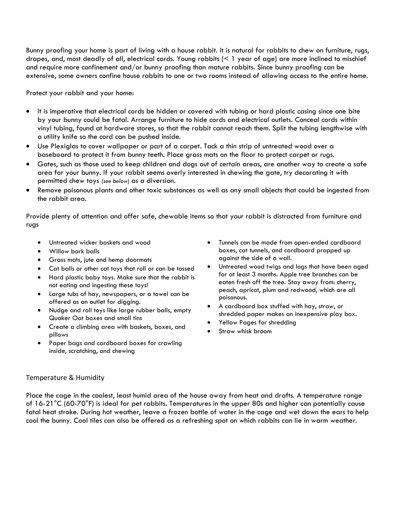Bunny proofing your home is part of living with a house rabbit. It is natural for rabbits to [chew](http://www.rabbit.org/faq/sections/chewing.html) on furniture, rugs, drapes, and, most deadly of all, electrical cords. Young rabbits (< 1 year of age) are more inclined to mischief and require more confinement and/or bunny proofing than mature rabbits. Since bunny proofing can be extensive, some owners confine house rabbits to one or two rooms instead of allowing access to the entire home.

Protect your rabbit and your home:

- It is imperative that electrical cords be hidden or covered with tubing or hard plastic casing since one bite by your bunny could be fatal. Arrange furniture to hide cords and electrical outlets. Conceal cords within vinyl tubing, found at hardware stores, so that the rabbit cannot reach them. Split the tubing lengthwise with a utility knife so the cord can be pushed inside.
- Use Plexiglas to cover wallpaper or part of a carpet. Tack a thin strip of untreated wood over a baseboard to protect it from bunny teeth. Place grass mats on the floor to protect carpet or rugs.
- Gates, such as those used to keep children and dogs out of certain areas, are another way to create a safe area for your bunny. If your rabbit seems overly interested in chewing the gate, try decorating it with permitted chew toys *(see below*) as a diversion.
- Remove poisonous plants and other toxic substances as well as any small objects that could be ingested from the rabbit area.

Provide plenty of attention and offer [safe, chewable](http://www.rabbit.org/faq/sections/chewing.html) items so that your rabbit is distracted from furniture and rugs

- Untreated wicker baskets and wood
- Willow bark balls
- Grass mats, jute and hemp doormats
- Cat balls or other cat toys that roll or can be tossed
- Hard plastic baby toys. Make sure that the rabbit is not eating and ingesting these toys!
- Large tubs of hay, newspapers, or a towel can be offered as an outlet for digging.
- Nudge and roll toys like large rubber balls, empty Quaker Oat boxes and small tins
- Create a climbing area with baskets, boxes, and pillows
- Paper bags and cardboard boxes for crawling inside, scratching, and chewing
- Tunnels can be made from open-ended cardboard boxes, cat tunnels, and cardboard propped up against the side of a wall.
- Untreated wood twigs and logs that have been aged for at least 3 months. Apple tree branches can be eaten fresh off the tree. Stay away from: cherry, peach, apricot, plum and redwood, which are all poisonous.
- A cardboard box stuffed with hay, straw, or shredded paper makes an inexpensive play box.
- Yellow Pages for shredding
- Straw whisk broom

## Temperature & Humidity

Place the cage in the coolest, least humid area of the house away from heat and drafts. A temperature range of 16-21°C (60-70°F) is ideal for pet rabbits. Temperatures in the upper 80s and higher can potentially cause fatal heat stroke. During hot weather, leave a frozen bottle of water in the cage and wet down the ears to help cool the bunny. Cool tiles can also be offered as a refreshing spot on which rabbits can lie in warm weather.